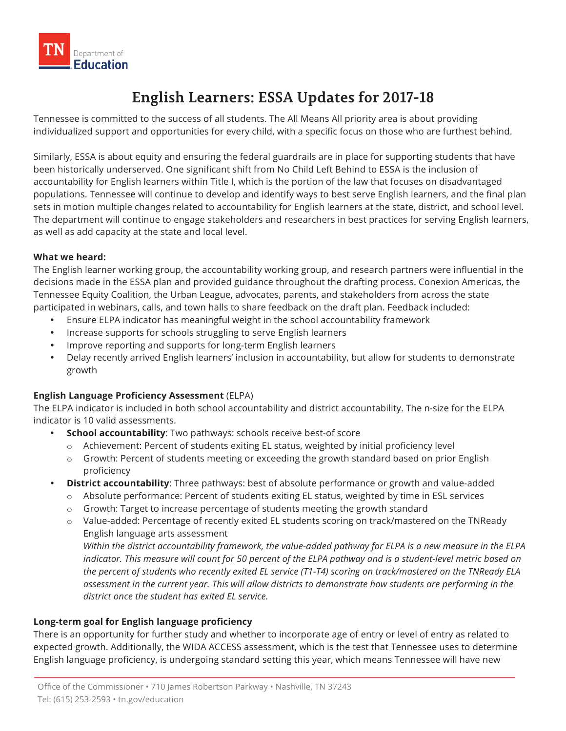

# **English Learners: ESSA Updates for 2017-18**

 Tennessee is committed to the success of all students. The All Means All priority area is about providing individualized support and opportunities for every child, with a specific focus on those who are furthest behind.

 Similarly, ESSA is about equity and ensuring the federal guardrails are in place for supporting students that have been historically underserved. One significant shift from No Child Left Behind to ESSA is the inclusion of accountability for English learners within Title I, which is the portion of the law that focuses on disadvantaged sets in motion multiple changes related to accountability for English learners at the state, district, and school level. The department will continue to engage stakeholders and researchers in best practices for serving English learners, as well as add capacity at the state and local level. populations. Tennessee will continue to develop and identify ways to best serve English learners, and the final plan

#### **What we heard:**

 The English learner working group, the accountability working group, and research partners were influential in the decisions made in the ESSA plan and provided guidance throughout the drafting process. Conexion Americas, the Tennessee Equity Coalition, the Urban League, advocates, parents, and stakeholders from across the state participated in webinars, calls, and town halls to share feedback on the draft plan. Feedback included:

- Ensure ELPA indicator has meaningful weight in the school accountability framework
- Increase supports for schools struggling to serve English learners
- Improve reporting and supports for long-term English learners
- • Delay recently arrived English learners' inclusion in accountability, but allow for students to demonstrate growth

### **English Language Proficiency Assessment** (ELPA)

 The ELPA indicator is included in both school accountability and district accountability. The n-size for the ELPA indicator is 10 valid assessments.

- **School accountability**: Two pathways: schools receive best-of score
	- o Achievement: Percent of students exiting EL status, weighted by initial proficiency level
	- o Growth: Percent of students meeting or exceeding the growth standard based on prior English proficiency
- **District accountability**: Three pathways: best of absolute performance or growth and value-added
	- o Absolute performance: Percent of students exiting EL status, weighted by time in ESL services
	- o Growth: Target to increase percentage of students meeting the growth standard
	- o Value-added: Percentage of recently exited EL students scoring on track/mastered on the TNReady English language arts assessment

 *Within the district accountability framework, the value-added pathway for ELPA is a new measure in the ELPA indicator. This measure will count for 50 percent of the ELPA pathway and is a student-level metric based on the percent of students who recently exited EL service (T1-T4) scoring on track/mastered on the TNReady ELA assessment in the current year. This will allow districts to demonstrate how students are performing in the district once the student has exited EL service.* 

### **Long-term goal for English language proficiency**

 There is an opportunity for further study and whether to incorporate age of entry or level of entry as related to expected growth. Additionally, the WIDA ACCESS assessment, which is the test that Tennessee uses to determine English language proficiency, is undergoing standard setting this year, which means Tennessee will have new